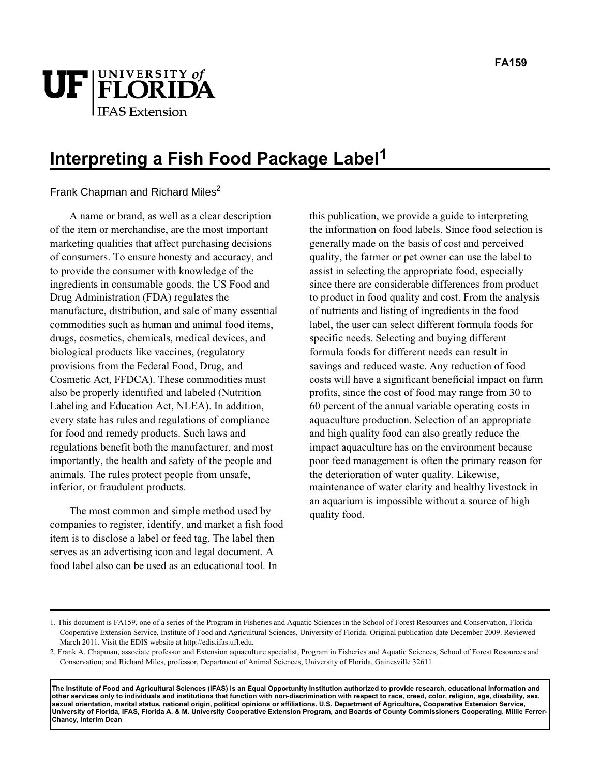# UF FLORIDA **IFAS** Extension

# **Interpreting a Fish Food Package Label1**

Frank Chapman and Richard Miles $2$ 

A name or brand, as well as a clear description of the item or merchandise, are the most important marketing qualities that affect purchasing decisions of consumers. To ensure honesty and accuracy, and to provide the consumer with knowledge of the ingredients in consumable goods, the US Food and Drug Administration (FDA) regulates the manufacture, distribution, and sale of many essential commodities such as human and animal food items, drugs, cosmetics, chemicals, medical devices, and biological products like vaccines, (regulatory provisions from the Federal Food, Drug, and Cosmetic Act, FFDCA). These commodities must also be properly identified and labeled (Nutrition Labeling and Education Act, NLEA). In addition, every state has rules and regulations of compliance for food and remedy products. Such laws and regulations benefit both the manufacturer, and most importantly, the health and safety of the people and animals. The rules protect people from unsafe, inferior, or fraudulent products.

The most common and simple method used by companies to register, identify, and market a fish food item is to disclose a label or feed tag. The label then serves as an advertising icon and legal document. A food label also can be used as an educational tool. In

this publication, we provide a guide to interpreting the information on food labels. Since food selection is generally made on the basis of cost and perceived quality, the farmer or pet owner can use the label to assist in selecting the appropriate food, especially since there are considerable differences from product to product in food quality and cost. From the analysis of nutrients and listing of ingredients in the food label, the user can select different formula foods for specific needs. Selecting and buying different formula foods for different needs can result in savings and reduced waste. Any reduction of food costs will have a significant beneficial impact on farm profits, since the cost of food may range from 30 to 60 percent of the annual variable operating costs in aquaculture production. Selection of an appropriate and high quality food can also greatly reduce the impact aquaculture has on the environment because poor feed management is often the primary reason for the deterioration of water quality. Likewise, maintenance of water clarity and healthy livestock in an aquarium is impossible without a source of high quality food.

**The Institute of Food and Agricultural Sciences (IFAS) is an Equal Opportunity Institution authorized to provide research, educational information and other services only to individuals and institutions that function with non-discrimination with respect to race, creed, color, religion, age, disability, sex, sexual orientation, marital status, national origin, political opinions or affiliations. U.S. Department of Agriculture, Cooperative Extension Service, University of Florida, IFAS, Florida A. & M. University Cooperative Extension Program, and Boards of County Commissioners Cooperating. Millie Ferrer-Chancy, Interim Dean**

<sup>1.</sup> This document is FA159, one of a series of the Program in Fisheries and Aquatic Sciences in the School of Forest Resources and Conservation, Florida Cooperative Extension Service, Institute of Food and Agricultural Sciences, University of Florida. Original publication date December 2009. Reviewed March 2011. Visit the EDIS website at http://edis.ifas.ufl.edu.

<sup>2.</sup> Frank A. Chapman, associate professor and Extension aquaculture specialist, Program in Fisheries and Aquatic Sciences, School of Forest Resources and Conservation; and Richard Miles, professor, Department of Animal Sciences, University of Florida, Gainesville 32611.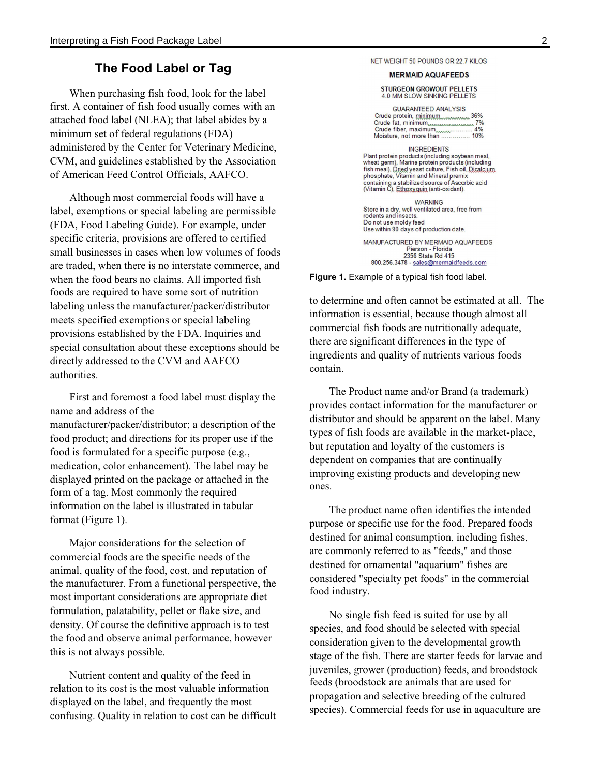# **The Food Label or Tag**

When purchasing fish food, look for the label first. A container of fish food usually comes with an attached food label (NLEA); that label abides by a minimum set of federal regulations (FDA) administered by the Center for Veterinary Medicine, CVM, and guidelines established by the Association of American Feed Control Officials, AAFCO.

Although most commercial foods will have a label, exemptions or special labeling are permissible (FDA, Food Labeling Guide). For example, under specific criteria, provisions are offered to certified small businesses in cases when low volumes of foods are traded, when there is no interstate commerce, and when the food bears no claims. All imported fish foods are required to have some sort of nutrition labeling unless the manufacturer/packer/distributor meets specified exemptions or special labeling provisions established by the FDA. Inquiries and special consultation about these exceptions should be directly addressed to the CVM and AAFCO authorities.

First and foremost a food label must display the name and address of the manufacturer/packer/distributor; a description of the food product; and directions for its proper use if the food is formulated for a specific purpose (e.g., medication, color enhancement). The label may be displayed printed on the package or attached in the form of a tag. Most commonly the required information on the label is illustrated in tabular format (Figure 1).

Major considerations for the selection of commercial foods are the specific needs of the animal, quality of the food, cost, and reputation of the manufacturer. From a functional perspective, the most important considerations are appropriate diet formulation, palatability, pellet or flake size, and density. Of course the definitive approach is to test the food and observe animal performance, however this is not always possible.

Nutrient content and quality of the feed in relation to its cost is the most valuable information displayed on the label, and frequently the most confusing. Quality in relation to cost can be difficult NET WEIGHT 50 POUNDS OR 22.7 KILOS

**MERMAID AQUAFEEDS** 

**STURGEON GROWOUT PELLETS** 4.0 MM SLOW SINKING PELLETS

| GUARANTEED ANALYSIS          |
|------------------------------|
| Crude protein, minimum 36%   |
|                              |
| Crude fiber, maximum         |
| Moisture, not more than  10% |

**INGREDIENTS** Plant protein products (including sovbean meal. wheat germ), Marine protein products (including<br>fish meal), Dried yeast culture, Fish oil, Dicalcium phosphate, Vitamin and Mineral premix containing a stabilized source of Ascorbic acid<br>(Vitamin C), Ethoxyguin (anti-oxidant).

**WARNING** Store in a dry, well ventilated area, free from rodents and insects. Do not use moldy feed Use within 90 days of production date.

MANUFACTURED BY MERMAID AQUAFEEDS Pierson - Florida 2356 State Rd 415 800.256.3478 - sales@mermaidfeeds.com

**Figure 1.** Example of a typical fish food label.

to determine and often cannot be estimated at all. The information is essential, because though almost all commercial fish foods are nutritionally adequate, there are significant differences in the type of ingredients and quality of nutrients various foods contain.

The Product name and/or Brand (a trademark) provides contact information for the manufacturer or distributor and should be apparent on the label. Many types of fish foods are available in the market-place, but reputation and loyalty of the customers is dependent on companies that are continually improving existing products and developing new ones.

The product name often identifies the intended purpose or specific use for the food. Prepared foods destined for animal consumption, including fishes, are commonly referred to as "feeds," and those destined for ornamental "aquarium" fishes are considered "specialty pet foods" in the commercial food industry.

No single fish feed is suited for use by all species, and food should be selected with special consideration given to the developmental growth stage of the fish. There are starter feeds for larvae and juveniles, grower (production) feeds, and broodstock feeds (broodstock are animals that are used for propagation and selective breeding of the cultured species). Commercial feeds for use in aquaculture are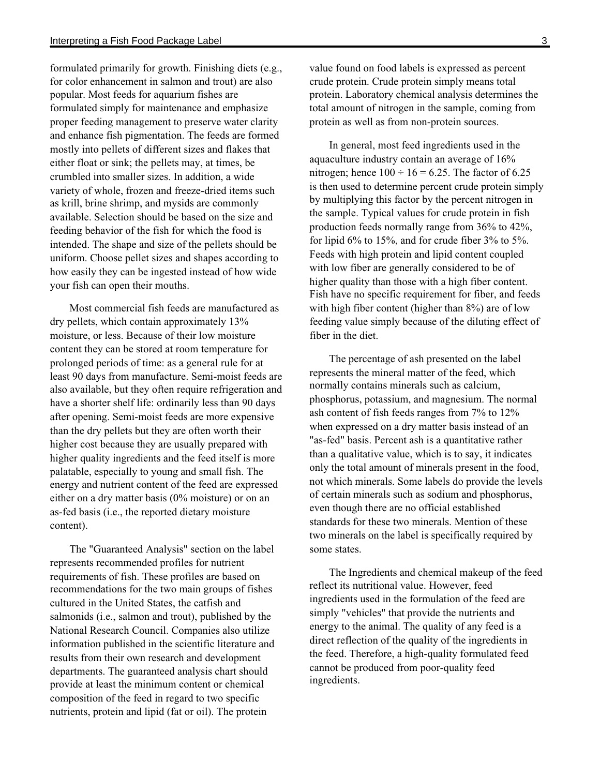formulated primarily for growth. Finishing diets (e.g., for color enhancement in salmon and trout) are also popular. Most feeds for aquarium fishes are formulated simply for maintenance and emphasize proper feeding management to preserve water clarity and enhance fish pigmentation. The feeds are formed mostly into pellets of different sizes and flakes that either float or sink; the pellets may, at times, be crumbled into smaller sizes. In addition, a wide variety of whole, frozen and freeze-dried items such as krill, brine shrimp, and mysids are commonly available. Selection should be based on the size and feeding behavior of the fish for which the food is intended. The shape and size of the pellets should be uniform. Choose pellet sizes and shapes according to how easily they can be ingested instead of how wide your fish can open their mouths.

Most commercial fish feeds are manufactured as dry pellets, which contain approximately 13% moisture, or less. Because of their low moisture content they can be stored at room temperature for prolonged periods of time: as a general rule for at least 90 days from manufacture. Semi-moist feeds are also available, but they often require refrigeration and have a shorter shelf life: ordinarily less than 90 days after opening. Semi-moist feeds are more expensive than the dry pellets but they are often worth their higher cost because they are usually prepared with higher quality ingredients and the feed itself is more palatable, especially to young and small fish. The energy and nutrient content of the feed are expressed either on a dry matter basis (0% moisture) or on an as-fed basis (i.e., the reported dietary moisture content).

The "Guaranteed Analysis" section on the label represents recommended profiles for nutrient requirements of fish. These profiles are based on recommendations for the two main groups of fishes cultured in the United States, the catfish and salmonids (i.e., salmon and trout), published by the National Research Council. Companies also utilize information published in the scientific literature and results from their own research and development departments. The guaranteed analysis chart should provide at least the minimum content or chemical composition of the feed in regard to two specific nutrients, protein and lipid (fat or oil). The protein

value found on food labels is expressed as percent crude protein. Crude protein simply means total protein. Laboratory chemical analysis determines the total amount of nitrogen in the sample, coming from protein as well as from non-protein sources.

In general, most feed ingredients used in the aquaculture industry contain an average of 16% nitrogen; hence  $100 \div 16 = 6.25$ . The factor of 6.25 is then used to determine percent crude protein simply by multiplying this factor by the percent nitrogen in the sample. Typical values for crude protein in fish production feeds normally range from 36% to 42%, for lipid  $6\%$  to  $15\%$ , and for crude fiber  $3\%$  to  $5\%$ . Feeds with high protein and lipid content coupled with low fiber are generally considered to be of higher quality than those with a high fiber content. Fish have no specific requirement for fiber, and feeds with high fiber content (higher than  $8\%$ ) are of low feeding value simply because of the diluting effect of fiber in the diet.

The percentage of ash presented on the label represents the mineral matter of the feed, which normally contains minerals such as calcium, phosphorus, potassium, and magnesium. The normal ash content of fish feeds ranges from 7% to 12% when expressed on a dry matter basis instead of an "as-fed" basis. Percent ash is a quantitative rather than a qualitative value, which is to say, it indicates only the total amount of minerals present in the food, not which minerals. Some labels do provide the levels of certain minerals such as sodium and phosphorus, even though there are no official established standards for these two minerals. Mention of these two minerals on the label is specifically required by some states.

The Ingredients and chemical makeup of the feed reflect its nutritional value. However, feed ingredients used in the formulation of the feed are simply "vehicles" that provide the nutrients and energy to the animal. The quality of any feed is a direct reflection of the quality of the ingredients in the feed. Therefore, a high-quality formulated feed cannot be produced from poor-quality feed ingredients.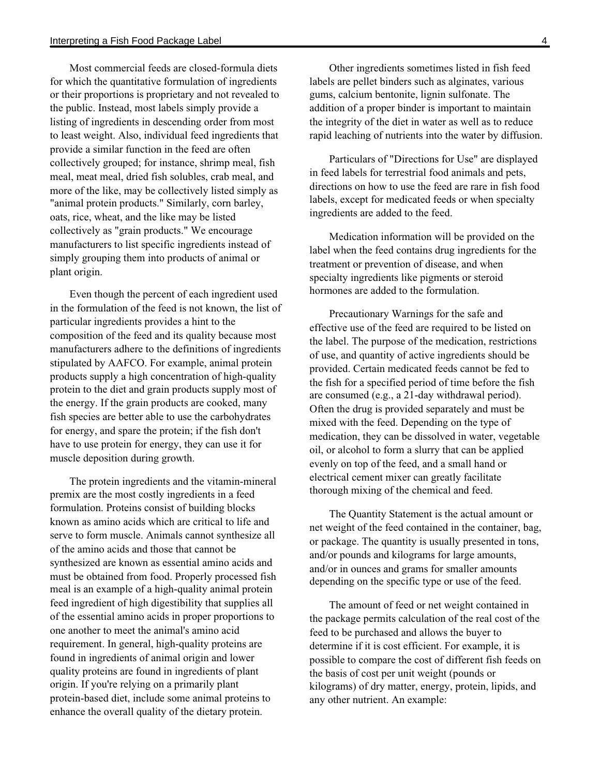Most commercial feeds are closed-formula diets for which the quantitative formulation of ingredients or their proportions is proprietary and not revealed to the public. Instead, most labels simply provide a listing of ingredients in descending order from most to least weight. Also, individual feed ingredients that provide a similar function in the feed are often collectively grouped; for instance, shrimp meal, fish meal, meat meal, dried fish solubles, crab meal, and more of the like, may be collectively listed simply as "animal protein products." Similarly, corn barley, oats, rice, wheat, and the like may be listed collectively as "grain products." We encourage manufacturers to list specific ingredients instead of simply grouping them into products of animal or plant origin.

Even though the percent of each ingredient used in the formulation of the feed is not known, the list of particular ingredients provides a hint to the composition of the feed and its quality because most manufacturers adhere to the definitions of ingredients stipulated by AAFCO. For example, animal protein products supply a high concentration of high-quality protein to the diet and grain products supply most of the energy. If the grain products are cooked, many fish species are better able to use the carbohydrates for energy, and spare the protein; if the fish don't have to use protein for energy, they can use it for muscle deposition during growth.

The protein ingredients and the vitamin-mineral premix are the most costly ingredients in a feed formulation. Proteins consist of building blocks known as amino acids which are critical to life and serve to form muscle. Animals cannot synthesize all of the amino acids and those that cannot be synthesized are known as essential amino acids and must be obtained from food. Properly processed fish meal is an example of a high-quality animal protein feed ingredient of high digestibility that supplies all of the essential amino acids in proper proportions to one another to meet the animal's amino acid requirement. In general, high-quality proteins are found in ingredients of animal origin and lower quality proteins are found in ingredients of plant origin. If you're relying on a primarily plant protein-based diet, include some animal proteins to enhance the overall quality of the dietary protein.

Other ingredients sometimes listed in fish feed labels are pellet binders such as alginates, various gums, calcium bentonite, lignin sulfonate. The addition of a proper binder is important to maintain the integrity of the diet in water as well as to reduce rapid leaching of nutrients into the water by diffusion.

Particulars of "Directions for Use" are displayed in feed labels for terrestrial food animals and pets, directions on how to use the feed are rare in fish food labels, except for medicated feeds or when specialty ingredients are added to the feed.

Medication information will be provided on the label when the feed contains drug ingredients for the treatment or prevention of disease, and when specialty ingredients like pigments or steroid hormones are added to the formulation.

Precautionary Warnings for the safe and effective use of the feed are required to be listed on the label. The purpose of the medication, restrictions of use, and quantity of active ingredients should be provided. Certain medicated feeds cannot be fed to the fish for a specified period of time before the fish are consumed (e.g., a 21-day withdrawal period). Often the drug is provided separately and must be mixed with the feed. Depending on the type of medication, they can be dissolved in water, vegetable oil, or alcohol to form a slurry that can be applied evenly on top of the feed, and a small hand or electrical cement mixer can greatly facilitate thorough mixing of the chemical and feed.

The Quantity Statement is the actual amount or net weight of the feed contained in the container, bag, or package. The quantity is usually presented in tons, and/or pounds and kilograms for large amounts, and/or in ounces and grams for smaller amounts depending on the specific type or use of the feed.

The amount of feed or net weight contained in the package permits calculation of the real cost of the feed to be purchased and allows the buyer to determine if it is cost efficient. For example, it is possible to compare the cost of different fish feeds on the basis of cost per unit weight (pounds or kilograms) of dry matter, energy, protein, lipids, and any other nutrient. An example: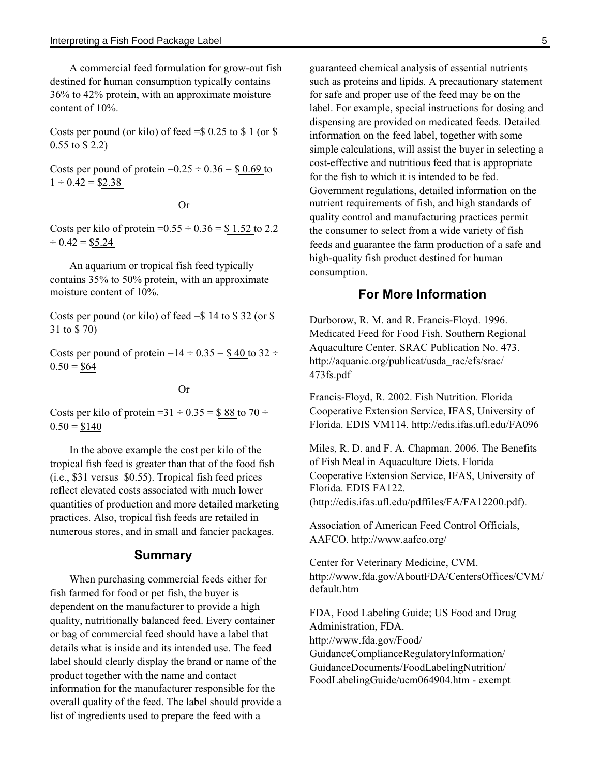A commercial feed formulation for grow-out fish destined for human consumption typically contains 36% to 42% protein, with an approximate moisture content of 10%.

Costs per pound (or kilo) of feed  $=$  \$ 0.25 to \$ 1 (or \$) 0.55 to \$ 2.2)

Costs per pound of protein  $=0.25 \div 0.36 = $0.69$  to  $1 \div 0.42 = $2.38$ 

#### Or

Costs per kilo of protein  $=0.55 \div 0.36 = $1.52$  to 2.2  $\div 0.42 = $5.24$ 

An aquarium or tropical fish feed typically contains 35% to 50% protein, with an approximate moisture content of 10%.

Costs per pound (or kilo) of feed  $=$  \$ 14 to \$ 32 (or \$ 31 to \$ 70)

Costs per pound of protein = $14 \div 0.35 =$  \$40 to 32  $\div$  $0.50 = $64$ 

#### Or

Costs per kilo of protein =  $31 \div 0.35 = $88$  to  $70 \div$  $0.50 = $140$ 

In the above example the cost per kilo of the tropical fish feed is greater than that of the food fish (i.e., \$31 versus \$0.55). Tropical fish feed prices reflect elevated costs associated with much lower quantities of production and more detailed marketing practices. Also, tropical fish feeds are retailed in numerous stores, and in small and fancier packages.

## **Summary**

When purchasing commercial feeds either for fish farmed for food or pet fish, the buyer is dependent on the manufacturer to provide a high quality, nutritionally balanced feed. Every container or bag of commercial feed should have a label that details what is inside and its intended use. The feed label should clearly display the brand or name of the product together with the name and contact information for the manufacturer responsible for the overall quality of the feed. The label should provide a list of ingredients used to prepare the feed with a

guaranteed chemical analysis of essential nutrients such as proteins and lipids. A precautionary statement for safe and proper use of the feed may be on the label. For example, special instructions for dosing and dispensing are provided on medicated feeds. Detailed information on the feed label, together with some simple calculations, will assist the buyer in selecting a cost-effective and nutritious feed that is appropriate for the fish to which it is intended to be fed. Government regulations, detailed information on the nutrient requirements of fish, and high standards of quality control and manufacturing practices permit the consumer to select from a wide variety of fish feeds and guarantee the farm production of a safe and high-quality fish product destined for human consumption.

### **For More Information**

Durborow, R. M. and R. Francis-Floyd. 1996. Medicated Feed for Food Fish. Southern Regional Aquaculture Center. SRAC Publication No. 473. http://aquanic.org/publicat/usda\_rac/efs/srac/ 473fs.pdf

Francis-Floyd, R. 2002. Fish Nutrition. Florida Cooperative Extension Service, IFAS, University of Florida. EDIS VM114. http://edis.ifas.ufl.edu/FA096

Miles, R. D. and F. A. Chapman. 2006. The Benefits of Fish Meal in Aquaculture Diets. Florida Cooperative Extension Service, IFAS, University of Florida. EDIS FA122. (http://edis.ifas.ufl.edu/pdffiles/FA/FA12200.pdf).

Association of American Feed Control Officials, AAFCO. http://www.aafco.org/

Center for Veterinary Medicine, CVM. http://www.fda.gov/AboutFDA/CentersOffices/CVM/ default.htm

FDA, Food Labeling Guide; US Food and Drug Administration, FDA. http://www.fda.gov/Food/ GuidanceComplianceRegulatoryInformation/ GuidanceDocuments/FoodLabelingNutrition/ FoodLabelingGuide/ucm064904.htm - exempt